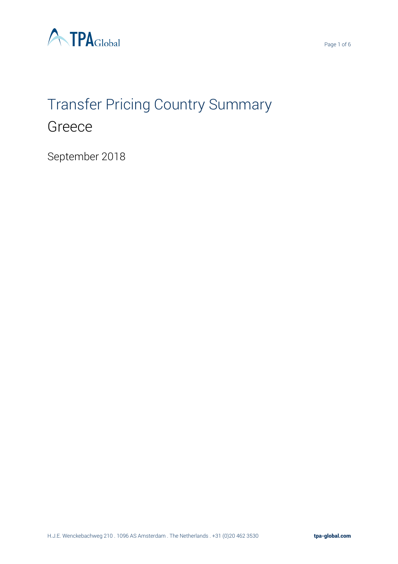

# Transfer Pricing Country Summary Greece

September 2018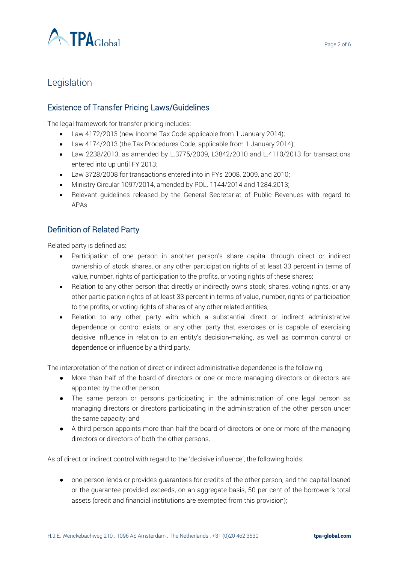

# Legislation

## Existence of Transfer Pricing Laws/Guidelines

The legal framework for transfer pricing includes:

- Law 4172/2013 (new Income Tax Code applicable from 1 January 2014);
- Law 4174/2013 (the Tax Procedures Code, applicable from 1 January 2014);
- Law 2238/2013, as amended by L.3775/2009, L3842/2010 and L.4110/2013 for transactions entered into up until FY 2013;
- Law 3728/2008 for transactions entered into in FYs 2008, 2009, and 2010;
- Ministry Circular 1097/2014, amended by POL. 1144/2014 and 1284.2013;
- Relevant guidelines released by the General Secretariat of Public Revenues with regard to APAs.

## Definition of Related Party

Related party is defined as:

- Participation of one person in another person's share capital through direct or indirect ownership of stock, shares, or any other participation rights of at least 33 percent in terms of value, number, rights of participation to the profits, or voting rights of these shares;
- Relation to any other person that directly or indirectly owns stock, shares, voting rights, or any other participation rights of at least 33 percent in terms of value, number, rights of participation to the profits, or voting rights of shares of any other related entities;
- Relation to any other party with which a substantial direct or indirect administrative dependence or control exists, or any other party that exercises or is capable of exercising decisive influence in relation to an entity's decision-making, as well as common control or dependence or influence by a third party.

The interpretation of the notion of direct or indirect administrative dependence is the following:

- More than half of the board of directors or one or more managing directors or directors are appointed by the other person;
- The same person or persons participating in the administration of one legal person as managing directors or directors participating in the administration of the other person under the same capacity; and
- A third person appoints more than half the board of directors or one or more of the managing directors or directors of both the other persons.

As of direct or indirect control with regard to the 'decisive influence', the following holds:

● one person lends or provides guarantees for credits of the other person, and the capital loaned or the guarantee provided exceeds, on an aggregate basis, 50 per cent of the borrower's total assets (credit and financial institutions are exempted from this provision);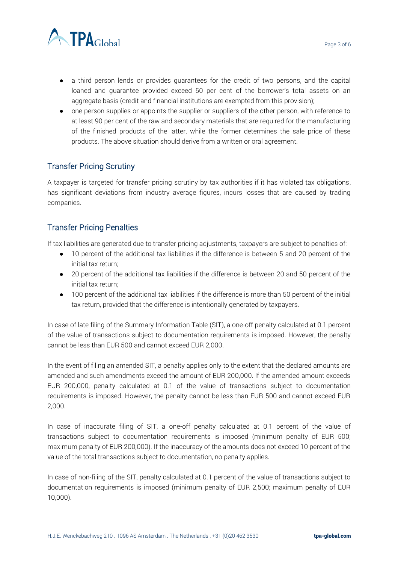

- a third person lends or provides guarantees for the credit of two persons, and the capital loaned and guarantee provided exceed 50 per cent of the borrower's total assets on an aggregate basis (credit and financial institutions are exempted from this provision);
- one person supplies or appoints the supplier or suppliers of the other person, with reference to at least 90 per cent of the raw and secondary materials that are required for the manufacturing of the finished products of the latter, while the former determines the sale price of these products. The above situation should derive from a written or oral agreement.

# Transfer Pricing Scrutiny

A taxpayer is targeted for transfer pricing scrutiny by tax authorities if it has violated tax obligations, has significant deviations from industry average figures, incurs losses that are caused by trading companies.

# Transfer Pricing Penalties

If tax liabilities are generated due to transfer pricing adjustments, taxpayers are subject to penalties of:

- 10 percent of the additional tax liabilities if the difference is between 5 and 20 percent of the initial tax return;
- 20 percent of the additional tax liabilities if the difference is between 20 and 50 percent of the initial tax return;
- 100 percent of the additional tax liabilities if the difference is more than 50 percent of the initial tax return, provided that the difference is intentionally generated by taxpayers.

In case of late filing of the Summary Information Table (SIT), a one-off penalty calculated at 0.1 percent of the value of transactions subject to documentation requirements is imposed. However, the penalty cannot be less than EUR 500 and cannot exceed EUR 2,000.

In the event of filing an amended SIT, a penalty applies only to the extent that the declared amounts are amended and such amendments exceed the amount of EUR 200,000. If the amended amount exceeds EUR 200,000, penalty calculated at 0.1 of the value of transactions subject to documentation requirements is imposed. However, the penalty cannot be less than EUR 500 and cannot exceed EUR 2,000.

In case of inaccurate filing of SIT, a one-off penalty calculated at 0.1 percent of the value of transactions subject to documentation requirements is imposed (minimum penalty of EUR 500; maximum penalty of EUR 200,000). If the inaccuracy of the amounts does not exceed 10 percent of the value of the total transactions subject to documentation, no penalty applies.

In case of non-filing of the SIT, penalty calculated at 0.1 percent of the value of transactions subject to documentation requirements is imposed (minimum penalty of EUR 2,500; maximum penalty of EUR 10,000).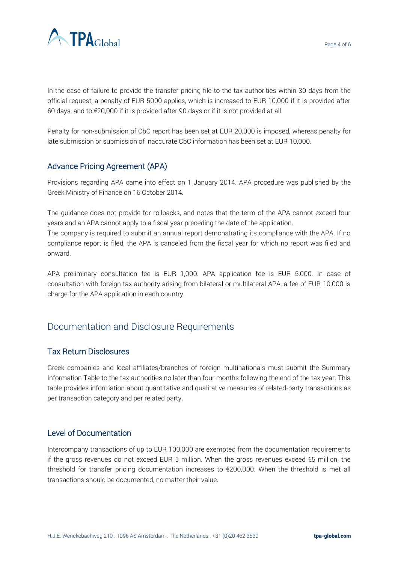

In the case of failure to provide the transfer pricing file to the tax authorities within 30 days from the official request, a penalty of EUR 5000 applies, which is increased to EUR 10,000 if it is provided after 60 days, and to €20,000 if it is provided after 90 days or if it is not provided at all.

Penalty for non-submission of CbC report has been set at EUR 20,000 is imposed, whereas penalty for late submission or submission of inaccurate CbC information has been set at EUR 10,000.

# Advance Pricing Agreement (APA)

Provisions regarding APA came into effect on 1 January 2014. APA procedure was published by the Greek Ministry of Finance on 16 October 2014.

The guidance does not provide for rollbacks, and notes that the term of the APA cannot exceed four years and an APA cannot apply to a fiscal year preceding the date of the application.

The company is required to submit an annual report demonstrating its compliance with the APA. If no compliance report is filed, the APA is canceled from the fiscal year for which no report was filed and onward.

APA preliminary consultation fee is EUR 1,000. APA application fee is EUR 5,000. In case of consultation with foreign tax authority arising from bilateral or multilateral APA, a fee of EUR 10,000 is charge for the APA application in each country.

# Documentation and Disclosure Requirements

#### Tax Return Disclosures

Greek companies and local affiliates/branches of foreign multinationals must submit the Summary Information Table to the tax authorities no later than four months following the end of the tax year. This table provides information about quantitative and qualitative measures of related-party transactions as per transaction category and per related party.

#### Level of Documentation

Intercompany transactions of up to EUR 100,000 are exempted from the documentation requirements if the gross revenues do not exceed EUR 5 million. When the gross revenues exceed  $\epsilon$ 5 million, the threshold for transfer pricing documentation increases to €200,000. When the threshold is met all transactions should be documented, no matter their value.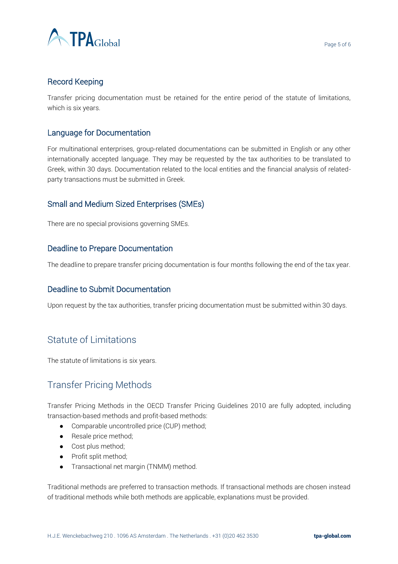

#### Record Keeping

Transfer pricing documentation must be retained for the entire period of the statute of limitations, which is six years.

#### Language for Documentation

For multinational enterprises, group-related documentations can be submitted in English or any other internationally accepted language. They may be requested by the tax authorities to be translated to Greek, within 30 days. Documentation related to the local entities and the financial analysis of relatedparty transactions must be submitted in Greek.

#### Small and Medium Sized Enterprises (SMEs)

There are no special provisions governing SMEs.

#### Deadline to Prepare Documentation

The deadline to prepare transfer pricing documentation is four months following the end of the tax year.

#### Deadline to Submit Documentation

Upon request by the tax authorities, transfer pricing documentation must be submitted within 30 days.

## Statute of Limitations

The statute of limitations is six years.

# Transfer Pricing Methods

Transfer Pricing Methods in the OECD Transfer Pricing Guidelines 2010 are fully adopted, including transaction-based methods and profit-based methods:

- Comparable uncontrolled price (CUP) method;
- Resale price method;
- Cost plus method:
- Profit split method;
- Transactional net margin (TNMM) method.

Traditional methods are preferred to transaction methods. If transactional methods are chosen instead of traditional methods while both methods are applicable, explanations must be provided.